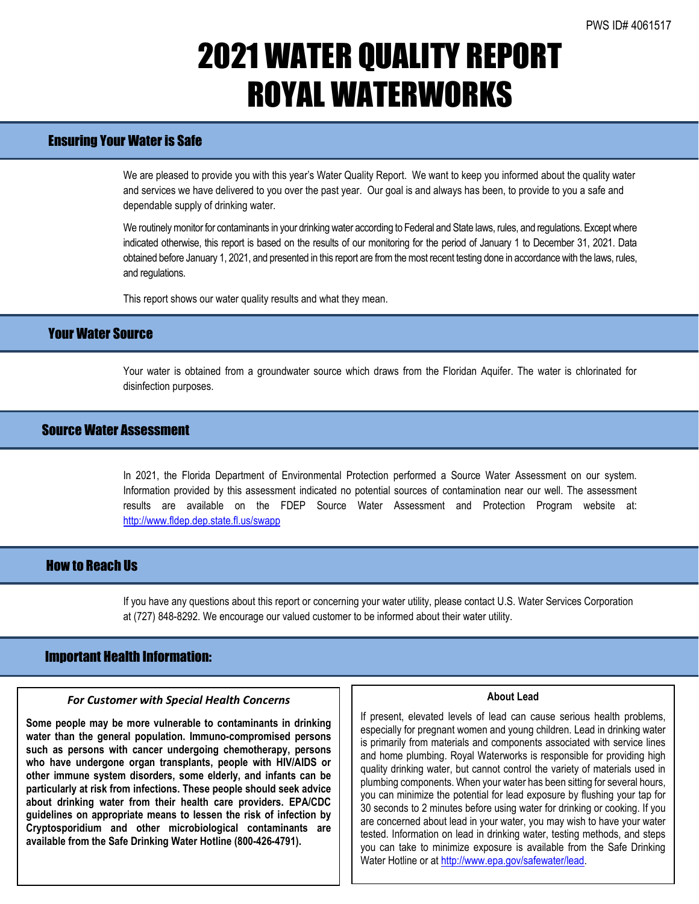# 2021 WATER QUALITY REPORT ROYAL WATERWORKS

### Ensuring Your Water is Safe

We are pleased to provide you with this year's Water Quality Report. We want to keep you informed about the quality water and services we have delivered to you over the past year. Our goal is and always has been, to provide to you a safe and dependable supply of drinking water.

We routinely monitor for contaminants in your drinking water according to Federal and State laws, rules, and regulations. Except where indicated otherwise, this report is based on the results of our monitoring for the period of January 1 to December 31, 2021. Data obtained before January 1, 2021, and presented in this report are from the most recent testing done in accordance with the laws, rules, and regulations.

This report shows our water quality results and what they mean.

## Your Water Source

Your water is obtained from a groundwater source which draws from the Floridan Aquifer. The water is chlorinated for disinfection purposes.

## Source Water Assessment

In 2021, the Florida Department of Environmental Protection performed a Source Water Assessment on our system. Information provided by this assessment indicated no potential sources of contamination near our well. The assessment results are available on the FDEP Source Water Assessment and Protection Program website at: <http://www.fldep.dep.state.fl.us/swapp>

## How to Reach Us

If you have any questions about this report or concerning your water utility, please contact U.S. Water Services Corporation at (727) 848-8292. We encourage our valued customer to be informed about their water utility.

### Important Health Information:

l

#### *For Customer with Special Health Concerns*

**Some people may be more vulnerable to contaminants in drinking water than the general population. Immuno-compromised persons such as persons with cancer undergoing chemotherapy, persons who have undergone organ transplants, people with HIV/AIDS or other immune system disorders, some elderly, and infants can be particularly at risk from infections. These people should seek advice about drinking water from their health care providers. EPA/CDC guidelines on appropriate means to lessen the risk of infection by Cryptosporidium and other microbiological contaminants are available from the Safe Drinking Water Hotline (800-426-4791).**

#### **About Lead**

If present, elevated levels of lead can cause serious health problems, especially for pregnant women and young children. Lead in drinking water is primarily from materials and components associated with service lines and home plumbing. Royal Waterworks is responsible for providing high quality drinking water, but cannot control the variety of materials used in plumbing components. When your water has been sitting for several hours, you can minimize the potential for lead exposure by flushing your tap for 30 seconds to 2 minutes before using water for drinking or cooking. If you are concerned about lead in your water, you may wish to have your water tested. Information on lead in drinking water, testing methods, and steps you can take to minimize exposure is available from the Safe Drinking Water Hotline or a[t http://www.epa.gov/safewater/lead.](http://www.epa.gov/safewater/lead)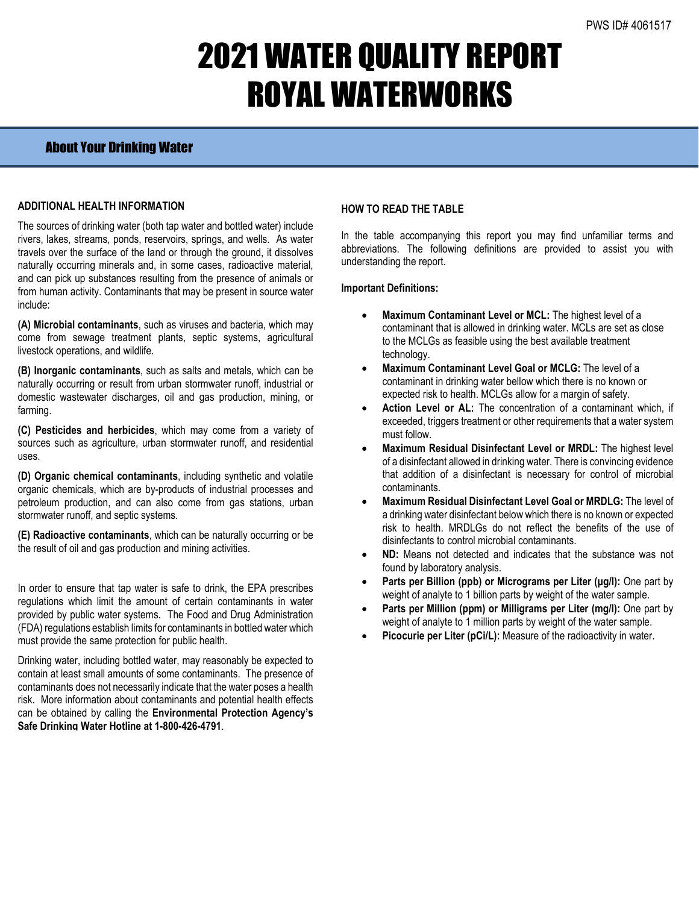# 2021 WATER QUALITY REPORT ROYAL WATERWORKS

## About Your Drinking Water

#### **ADDITIONAL HEALTH INFORMATION**

The sources of drinking water (both tap water and bottled water) include rivers, lakes, streams, ponds, reservoirs, springs, and wells. As water travels over the surface of the land or through the ground, it dissolves naturally occurring minerals and, in some cases, radioactive material, and can pick up substances resulting from the presence of animals or from human activity. Contaminants that may be present in source water include:

**(A) Microbial contaminants**, such as viruses and bacteria, which may come from sewage treatment plants, septic systems, agricultural livestock operations, and wildlife.

**(B) Inorganic contaminants**, such as salts and metals, which can be naturally occurring or result from urban stormwater runoff, industrial or domestic wastewater discharges, oil and gas production, mining, or farming.

**(C) Pesticides and herbicides**, which may come from a variety of sources such as agriculture, urban stormwater runoff, and residential uses.

**(D) Organic chemical contaminants**, including synthetic and volatile organic chemicals, which are by-products of industrial processes and petroleum production, and can also come from gas stations, urban stormwater runoff, and septic systems.

**(E) Radioactive contaminants**, which can be naturally occurring or be the result of oil and gas production and mining activities.

In order to ensure that tap water is safe to drink, the EPA prescribes regulations which limit the amount of certain contaminants in water provided by public water systems. The Food and Drug Administration (FDA) regulations establish limits for contaminants in bottled water which must provide the same protection for public health.

Drinking water, including bottled water, may reasonably be expected to contain at least small amounts of some contaminants. The presence of contaminants does not necessarily indicate that the water poses a health risk. More information about contaminants and potential health effects can be obtained by calling the **Environmental Protection Agency's Safe Drinking Water Hotline at 1-800-426-4791**.

### **HOW TO READ THE TABLE**

In the table accompanying this report you may find unfamiliar terms and abbreviations. The following definitions are provided to assist you with understanding the report.

### **Important Definitions:**

- **Maximum Contaminant Level or MCL:** The highest level of a contaminant that is allowed in drinking water. MCLs are set as close to the MCLGs as feasible using the best available treatment technology.
- **Maximum Contaminant Level Goal or MCLG:** The level of a contaminant in drinking water bellow which there is no known or expected risk to health. MCLGs allow for a margin of safety.
- Action Level or AL: The concentration of a contaminant which, if exceeded, triggers treatment or other requirements that a water system must follow.
- **Maximum Residual Disinfectant Level or MRDL:** The highest level of a disinfectant allowed in drinking water. There is convincing evidence that addition of a disinfectant is necessary for control of microbial contaminants.
- **Maximum Residual Disinfectant Level Goal or MRDLG:** The level of a drinking water disinfectant below which there is no known or expected risk to health. MRDLGs do not reflect the benefits of the use of disinfectants to control microbial contaminants.
- **ND:** Means not detected and indicates that the substance was not found by laboratory analysis.
- **Parts per Billion (ppb) or Micrograms per Liter (µg/l):** One part by weight of analyte to 1 billion parts by weight of the water sample.
- Parts per Million (ppm) or Milligrams per Liter (mg/l): One part by weight of analyte to 1 million parts by weight of the water sample.
- Picocurie per Liter (pCi/L): Measure of the radioactivity in water.